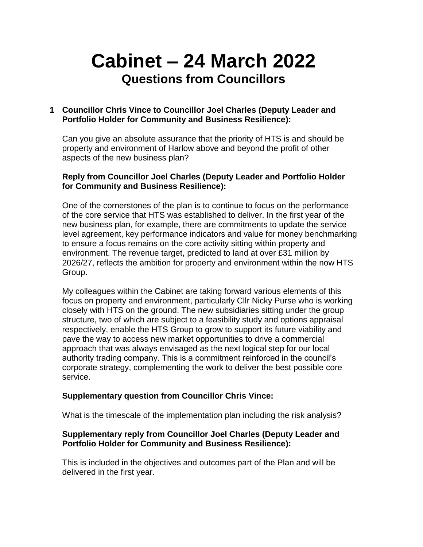# **Cabinet – 24 March 2022 Questions from Councillors**

## **1 Councillor Chris Vince to Councillor Joel Charles (Deputy Leader and Portfolio Holder for Community and Business Resilience):**

Can you give an absolute assurance that the priority of HTS is and should be property and environment of Harlow above and beyond the profit of other aspects of the new business plan?

#### **Reply from Councillor Joel Charles (Deputy Leader and Portfolio Holder for Community and Business Resilience):**

One of the cornerstones of the plan is to continue to focus on the performance of the core service that HTS was established to deliver. In the first year of the new business plan, for example, there are commitments to update the service level agreement, key performance indicators and value for money benchmarking to ensure a focus remains on the core activity sitting within property and environment. The revenue target, predicted to land at over £31 million by 2026/27, reflects the ambition for property and environment within the now HTS Group.

My colleagues within the Cabinet are taking forward various elements of this focus on property and environment, particularly Cllr Nicky Purse who is working closely with HTS on the ground. The new subsidiaries sitting under the group structure, two of which are subject to a feasibility study and options appraisal respectively, enable the HTS Group to grow to support its future viability and pave the way to access new market opportunities to drive a commercial approach that was always envisaged as the next logical step for our local authority trading company. This is a commitment reinforced in the council's corporate strategy, complementing the work to deliver the best possible core service.

# **Supplementary question from Councillor Chris Vince:**

What is the timescale of the implementation plan including the risk analysis?

#### **Supplementary reply from Councillor Joel Charles (Deputy Leader and Portfolio Holder for Community and Business Resilience):**

This is included in the objectives and outcomes part of the Plan and will be delivered in the first year.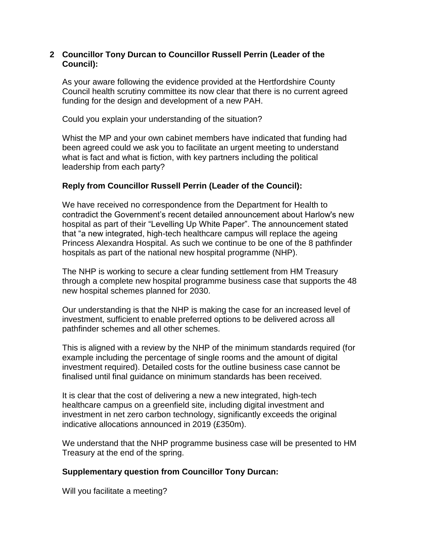#### **2 Councillor Tony Durcan to Councillor Russell Perrin (Leader of the Council):**

As your aware following the evidence provided at the Hertfordshire County Council health scrutiny committee its now clear that there is no current agreed funding for the design and development of a new PAH.

Could you explain your understanding of the situation?

Whist the MP and your own cabinet members have indicated that funding had been agreed could we ask you to facilitate an urgent meeting to understand what is fact and what is fiction, with key partners including the political leadership from each party?

#### **Reply from Councillor Russell Perrin (Leader of the Council):**

We have received no correspondence from the Department for Health to contradict the Government's recent detailed announcement about Harlow's new hospital as part of their "Levelling Up White Paper". The announcement stated that "a new integrated, high-tech healthcare campus will replace the ageing Princess Alexandra Hospital. As such we continue to be one of the 8 pathfinder hospitals as part of the national new hospital programme (NHP).

The NHP is working to secure a clear funding settlement from HM Treasury through a complete new hospital programme business case that supports the 48 new hospital schemes planned for 2030.

Our understanding is that the NHP is making the case for an increased level of investment, sufficient to enable preferred options to be delivered across all pathfinder schemes and all other schemes.

This is aligned with a review by the NHP of the minimum standards required (for example including the percentage of single rooms and the amount of digital investment required). Detailed costs for the outline business case cannot be finalised until final guidance on minimum standards has been received.

It is clear that the cost of delivering a new a new integrated, high-tech healthcare campus on a greenfield site, including digital investment and investment in net zero carbon technology, significantly exceeds the original indicative allocations announced in 2019 (£350m).

We understand that the NHP programme business case will be presented to HM Treasury at the end of the spring.

#### **Supplementary question from Councillor Tony Durcan:**

Will you facilitate a meeting?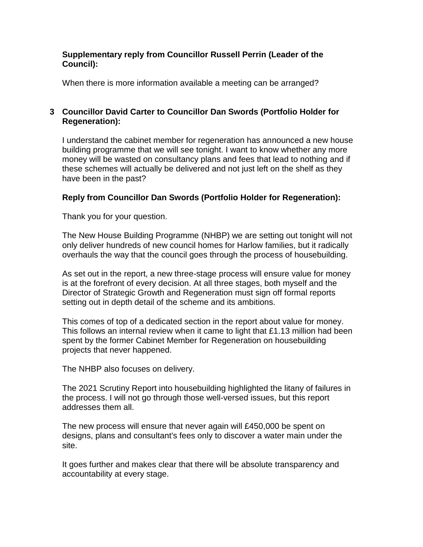#### **Supplementary reply from Councillor Russell Perrin (Leader of the Council):**

When there is more information available a meeting can be arranged?

# **3 Councillor David Carter to Councillor Dan Swords (Portfolio Holder for Regeneration):**

I understand the cabinet member for regeneration has announced a new house building programme that we will see tonight. I want to know whether any more money will be wasted on consultancy plans and fees that lead to nothing and if these schemes will actually be delivered and not just left on the shelf as they have been in the past?

# **Reply from Councillor Dan Swords (Portfolio Holder for Regeneration):**

Thank you for your question.

The New House Building Programme (NHBP) we are setting out tonight will not only deliver hundreds of new council homes for Harlow families, but it radically overhauls the way that the council goes through the process of housebuilding.

As set out in the report, a new three-stage process will ensure value for money is at the forefront of every decision. At all three stages, both myself and the Director of Strategic Growth and Regeneration must sign off formal reports setting out in depth detail of the scheme and its ambitions.

This comes of top of a dedicated section in the report about value for money. This follows an internal review when it came to light that £1.13 million had been spent by the former Cabinet Member for Regeneration on housebuilding projects that never happened.

The NHBP also focuses on delivery.

The 2021 Scrutiny Report into housebuilding highlighted the litany of failures in the process. I will not go through those well-versed issues, but this report addresses them all.

The new process will ensure that never again will £450,000 be spent on designs, plans and consultant's fees only to discover a water main under the site.

It goes further and makes clear that there will be absolute transparency and accountability at every stage.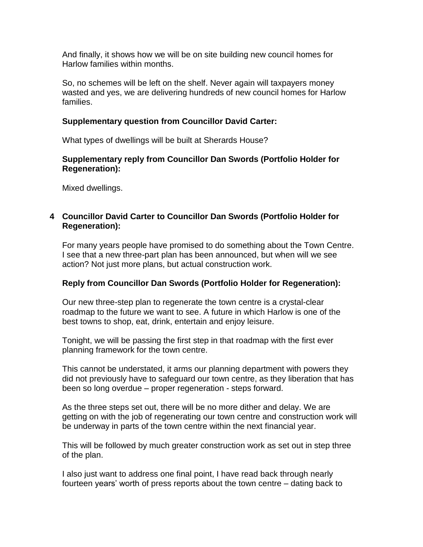And finally, it shows how we will be on site building new council homes for Harlow families within months.

So, no schemes will be left on the shelf. Never again will taxpayers money wasted and yes, we are delivering hundreds of new council homes for Harlow families.

### **Supplementary question from Councillor David Carter:**

What types of dwellings will be built at Sherards House?

## **Supplementary reply from Councillor Dan Swords (Portfolio Holder for Regeneration):**

Mixed dwellings.

## **4 Councillor David Carter to Councillor Dan Swords (Portfolio Holder for Regeneration):**

For many years people have promised to do something about the Town Centre. I see that a new three-part plan has been announced, but when will we see action? Not just more plans, but actual construction work.

# **Reply from Councillor Dan Swords (Portfolio Holder for Regeneration):**

Our new three-step plan to regenerate the town centre is a crystal-clear roadmap to the future we want to see. A future in which Harlow is one of the best towns to shop, eat, drink, entertain and enjoy leisure.

Tonight, we will be passing the first step in that roadmap with the first ever planning framework for the town centre.

This cannot be understated, it arms our planning department with powers they did not previously have to safeguard our town centre, as they liberation that has been so long overdue – proper regeneration - steps forward.

As the three steps set out, there will be no more dither and delay. We are getting on with the job of regenerating our town centre and construction work will be underway in parts of the town centre within the next financial year.

This will be followed by much greater construction work as set out in step three of the plan.

I also just want to address one final point, I have read back through nearly fourteen years' worth of press reports about the town centre – dating back to